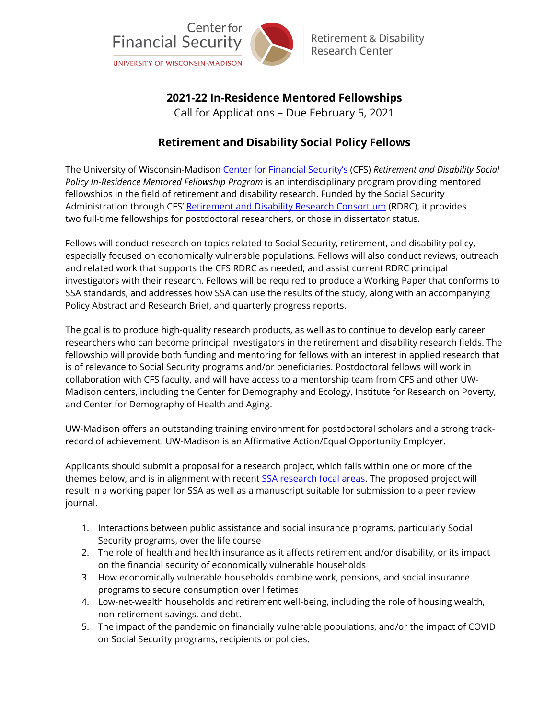

# **2021-22 In-Residence Mentored Fellowships**

Call for Applications – Due February 5, 2021

# **Retirement and Disability Social Policy Fellows**

The University of Wisconsin-Madison [Center for Financial Security's](https://cfsrdrc.wisc.edu/) (CFS) *Retirement and Disability Social Policy In-Residence Mentored Fellowship Program* is an interdisciplinary program providing mentored fellowships in the field of retirement and disability research. Funded by the Social Security Administration through CFS' [Retirement and Disability Research Consortium](https://cfsrdrc.wisc.edu/training) (RDRC), it provides two full-time fellowships for postdoctoral researchers, or those in dissertator status.

Fellows will conduct research on topics related to Social Security, retirement, and disability policy, especially focused on economically vulnerable populations. Fellows will also conduct reviews, outreach and related work that supports the CFS RDRC as needed; and assist current RDRC principal investigators with their research. Fellows will be required to produce a Working Paper that conforms to SSA standards, and addresses how SSA can use the results of the study, along with an accompanying Policy Abstract and Research Brief, and quarterly progress reports.

The goal is to produce high-quality research products, as well as to continue to develop early career researchers who can become principal investigators in the retirement and disability research fields. The fellowship will provide both funding and mentoring for fellows with an interest in applied research that is of relevance to Social Security programs and/or beneficiaries. Postdoctoral fellows will work in collaboration with CFS faculty, and will have access to a mentorship team from CFS and other UW-Madison centers, including the Center for Demography and Ecology, Institute for Research on Poverty, and Center for Demography of Health and Aging.

UW-Madison offers an outstanding training environment for postdoctoral scholars and a strong trackrecord of achievement. UW-Madison is an Affirmative Action/Equal Opportunity Employer.

Applicants should submit a proposal for a research project, which falls within one or more of the themes below, and is in alignment with recent **SSA research focal areas**. The proposed project will result in a working paper for SSA as well as a manuscript suitable for submission to a peer review journal.

- 1. Interactions between public assistance and social insurance programs, particularly Social Security programs, over the life course
- 2. The role of health and health insurance as it affects retirement and/or disability, or its impact on the financial security of economically vulnerable households
- 3. How economically vulnerable households combine work, pensions, and social insurance programs to secure consumption over lifetimes
- 4. Low-net-wealth households and retirement well-being, including the role of housing wealth, non-retirement savings, and debt.
- 5. The impact of the pandemic on financially vulnerable populations, and/or the impact of COVID on Social Security programs, recipients or policies.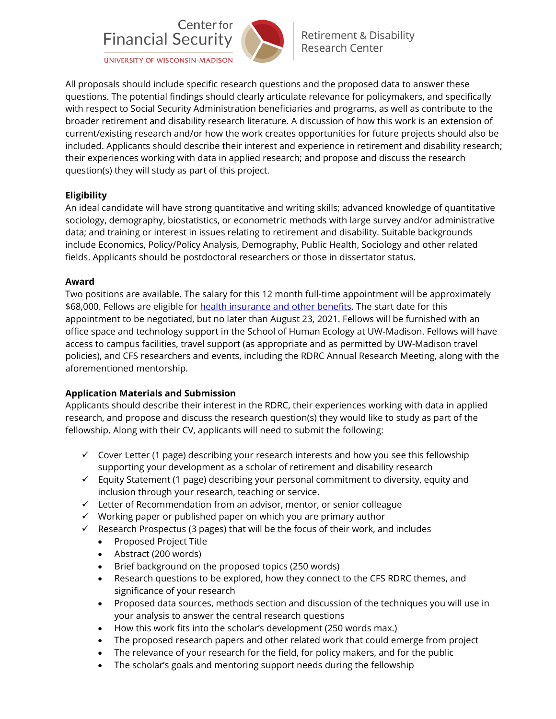

**Retirement & Disability Research Center** 

UNIVERSITY OF WISCONSIN-MADISON

All proposals should include specific research questions and the proposed data to answer these questions. The potential findings should clearly articulate relevance for policymakers, and specifically with respect to Social Security Administration beneficiaries and programs, as well as contribute to the broader retirement and disability research literature. A discussion of how this work is an extension of current/existing research and/or how the work creates opportunities for future projects should also be included. Applicants should describe their interest and experience in retirement and disability research; their experiences working with data in applied research; and propose and discuss the research question(s) they will study as part of this project.

### **Eligibility**

An ideal candidate will have strong quantitative and writing skills; advanced knowledge of quantitative sociology, demography, biostatistics, or econometric methods with large survey and/or administrative data; and training or interest in issues relating to retirement and disability. Suitable backgrounds include Economics, Policy/Policy Analysis, Demography, Public Health, Sociology and other related fields. Applicants should be postdoctoral researchers or those in dissertator status.

#### **Award**

Two positions are available. The salary for this 12 month full-time appointment will be approximately \$68,000. Fellows are eligible for [health insurance and other benefits.](http://www.ohr.wisc.edu/benefits/new-emp/grad.aspx) The start date for this appointment to be negotiated, but no later than August 23, 2021. Fellows will be furnished with an office space and technology support in the School of Human Ecology at UW-Madison. Fellows will have access to campus facilities, travel support (as appropriate and as permitted by UW-Madison travel policies), and CFS researchers and events, including the RDRC Annual Research Meeting, along with the aforementioned mentorship.

### **Application Materials and Submission**

Applicants should describe their interest in the RDRC, their experiences working with data in applied research, and propose and discuss the research question(s) they would like to study as part of the fellowship. Along with their CV, applicants will need to submit the following:

- $\checkmark$  Cover Letter (1 page) describing your research interests and how you see this fellowship supporting your development as a scholar of retirement and disability research
- $\checkmark$  Equity Statement (1 page) describing your personal commitment to diversity, equity and inclusion through your research, teaching or service.
- $\checkmark$  Letter of Recommendation from an advisor, mentor, or senior colleague
- $\checkmark$  Working paper or published paper on which you are primary author
- $\checkmark$  Research Prospectus (3 pages) that will be the focus of their work, and includes
	- Proposed Project Title
	- Abstract (200 words)
	- Brief background on the proposed topics (250 words)
	- Research questions to be explored, how they connect to the CFS RDRC themes, and significance of your research
	- Proposed data sources, methods section and discussion of the techniques you will use in your analysis to answer the central research questions
	- How this work fits into the scholar's development (250 words max.)
	- The proposed research papers and other related work that could emerge from project
	- The relevance of your research for the field, for policy makers, and for the public
	- The scholar's goals and mentoring support needs during the fellowship